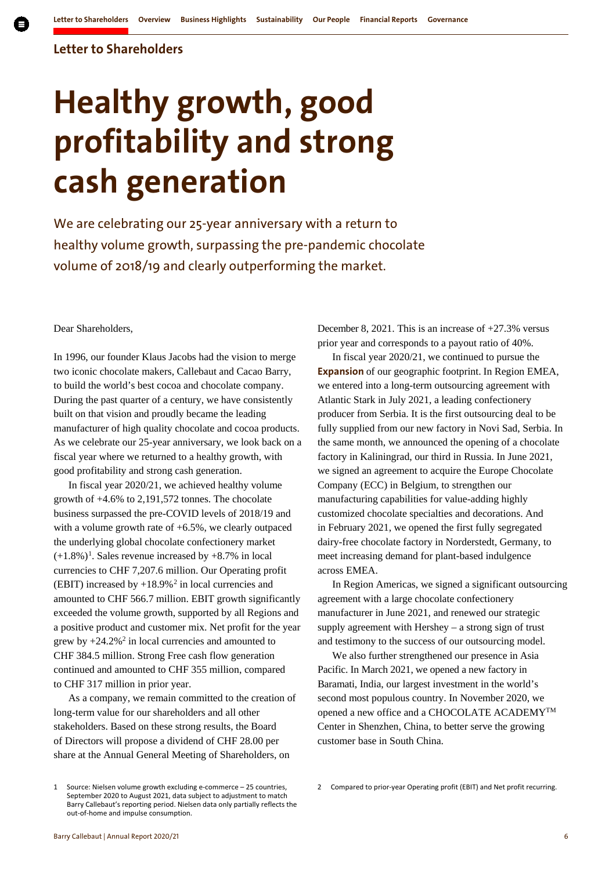### **Letter to Shareholders**

# **Healthy growth, good profitability and strong cash generation**

We are celebrating our 25-year anniversary with a return to healthy volume growth, surpassing the pre-pandemic chocolate volume of 2018/19 and clearly outperforming the market.

Dear Shareholders,

In 1996, our founder Klaus Jacobs had the vision to merge two iconic chocolate makers, Callebaut and Cacao Barry, to build the world's best cocoa and chocolate company. During the past quarter of a century, we have consistently built on that vision and proudly became the leading manufacturer of high quality chocolate and cocoa products. As we celebrate our 25-year anniversary, we look back on a fiscal year where we returned to a healthy growth, with good profitability and strong cash generation.

In fiscal year 2020/21, we achieved healthy volume growth of +4.6% to 2,191,572 tonnes. The chocolate business surpassed the pre-COVID levels of 2018/19 and with a volume growth rate of  $+6.5\%$ , we clearly outpaced the underlying global chocolate confectionery market  $(+1.8\%)$  $(+1.8\%)$  $(+1.8\%)$ <sup>1</sup>. Sales revenue increased by  $+8.7\%$  in local currencies to CHF 7,207.6 million. Our Operating profit (EBIT) increased by  $+18.9\%$ <sup>[2](#page-0-0)</sup> in local currencies and amounted to CHF 566.7 million. EBIT growth significantly exceeded the volume growth, supported by all Regions and a positive product and customer mix. Net profit for the year grew by  $+24.2\%^2$  in local currencies and amounted to CHF 384.5 million. Strong Free cash flow generation continued and amounted to CHF 355 million, compared to CHF 317 million in prior year.

As a company, we remain committed to the creation of long-term value for our shareholders and all other stakeholders. Based on these strong results, the Board of Directors will propose a dividend of CHF 28.00 per share at the Annual General Meeting of Shareholders, on

December 8, 2021. This is an increase of +27.3% versus prior year and corresponds to a payout ratio of 40%.

In fiscal year 2020/21, we continued to pursue the **Expansion** of our geographic footprint. In Region EMEA, we entered into a long-term outsourcing agreement with Atlantic Stark in July 2021, a leading confectionery producer from Serbia. It is the first outsourcing deal to be fully supplied from our new factory in Novi Sad, Serbia. In the same month, we announced the opening of a chocolate factory in Kaliningrad, our third in Russia. In June 2021, we signed an agreement to acquire the Europe Chocolate Company (ECC) in Belgium, to strengthen our manufacturing capabilities for value-adding highly customized chocolate specialties and decorations. And in February 2021, we opened the first fully segregated dairy-free chocolate factory in Norderstedt, Germany, to meet increasing demand for plant-based indulgence across EMEA.

In Region Americas, we signed a significant outsourcing agreement with a large chocolate confectionery manufacturer in June 2021, and renewed our strategic supply agreement with Hershey – a strong sign of trust and testimony to the success of our outsourcing model.

We also further strengthened our presence in Asia Pacific. In March 2021, we opened a new factory in Baramati, India, our largest investment in the world's second most populous country. In November 2020, we opened a new office and a CHOCOLATE ACADEMYTM Center in Shenzhen, China, to better serve the growing customer base in South China.

<span id="page-0-0"></span><sup>1</sup> Source: Nielsen volume growth excluding e-commerce – 25 countries, September 2020 to August 2021, data subject to adjustment to match Barry Callebaut's reporting period. Nielsen data only partially reflects the out-of-home and impulse consumption.

<sup>2</sup> Compared to prior-year Operating profit (EBIT) and Net profit recurring.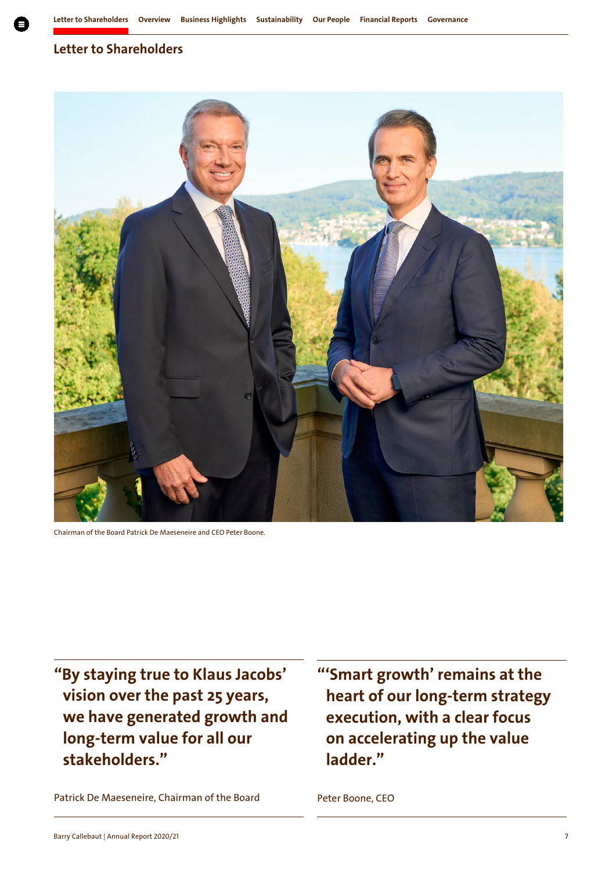# **Letter to Shareholders**



Chairman of the Board Patrick De Maeseneire and CEO Peter Boone.

**"By staying true to Klaus Jacobs' vision over the past 25 years, we have generated growth and long-term value for all our stakeholders."**

Patrick De Maeseneire, Chairman of the Board

**"'Smart growth' remains at the heart of our long-term strategy execution, with a clear focus on accelerating up the value ladder."**

Peter Boone, CEO